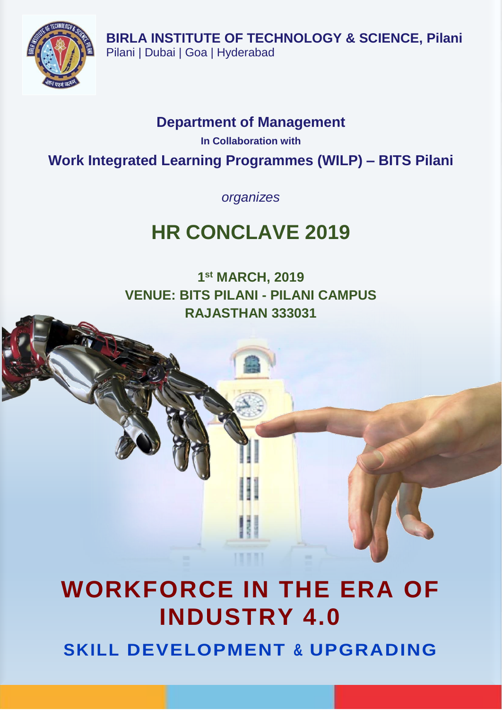

## **Department of Management**

**In Collaboration with** 

**Work Integrated Learning Programmes (WILP) – BITS Pilani**

*organizes*

## **HR CONCLAVE 2019**

**1 st MARCH, 2019 VENUE: BITS PILANI - PILANI CAMPUS RAJASTHAN 333031**

# **WORKFORCE IN THE ERA OF INDUSTRY 4.0 SKILL DEVELOPMENT & UPGRADING**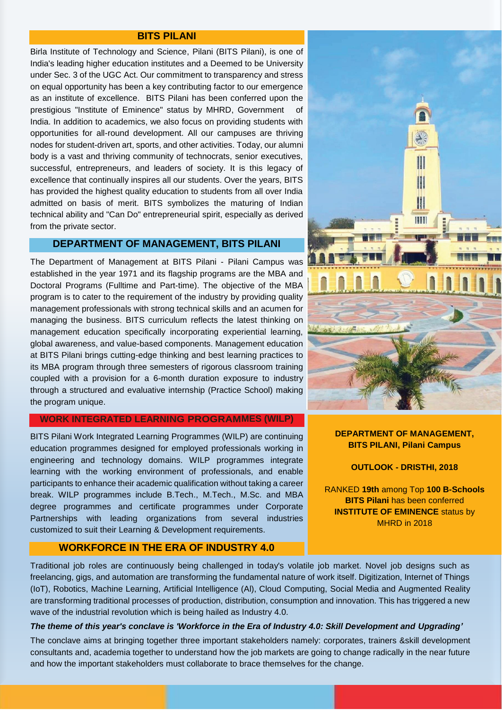### **BITS PILANI**

Birla Institute of Technology and Science, Pilani (BITS Pilani), is one of India's leading higher education institutes and a Deemed to be University under Sec. 3 of the UGC Act. Our commitment to transparency and stress on equal opportunity has been a key contributing factor to our emergence as an institute of excellence. BITS Pilani has been conferred upon the prestigious "Institute of Eminence" status by MHRD, Government of India. In addition to academics, we also focus on providing students with opportunities for all-round development. All our campuses are thriving nodes for student-driven art, sports, and other activities. Today, our alumni body is a vast and thriving community of technocrats, senior executives, successful, entrepreneurs, and leaders of society. It is this legacy of excellence that continually inspires all our students. Over the years, BITS has provided the highest quality education to students from all over India admitted on basis of merit. BITS symbolizes the maturing of Indian technical ability and "Can Do" entrepreneurial spirit, especially as derived from the private sector.

### **DEPARTMENT OF MANAGEMENT, BITS PILANI**

The Department of Management at BITS Pilani - Pilani Campus was established in the year 1971 and its flagship programs are the MBA and Doctoral Programs (Fulltime and Part-time). The objective of the MBA program is to cater to the requirement of the industry by providing quality management professionals with strong technical skills and an acumen for managing the business. BITS curriculum reflects the latest thinking on management education specifically incorporating experiential learning, global awareness, and value-based components. Management education at BITS Pilani brings cutting-edge thinking and best learning practices to its MBA program through three semesters of rigorous classroom training coupled with a provision for a 6-month duration exposure to industry through a structured and evaluative internship (Practice School) making the program unique.

### **WORK INTEGRATED LEARNING PROGRAMMES (WILP)**

BITS Pilani Work Integrated Learning Programmes (WILP) are continuing education programmes designed for employed professionals working in engineering and technology domains. WILP programmes integrate learning with the working environment of professionals, and enable participants to enhance their academic qualification without taking a career break. WILP programmes include B.Tech., M.Tech., M.Sc. and MBA degree programmes and certificate programmes under Corporate Partnerships with leading organizations from several industries customized to suit their Learning & Development requirements.

### **WORKFORCE IN THE ERA OF INDUSTRY 4.0**



### **DEPARTMENT OF MANAGEMENT, BITS PILANI, Pilani Campus**

#### **OUTLOOK - DRISTHI, 2018**

RANKED **19th** among Top **100 B-Schools BITS Pilani** has been conferred **INSTITUTE OF EMINENCE** status by MHRD in 2018

Traditional job roles are continuously being challenged in today's volatile job market. Novel job designs such as freelancing, gigs, and automation are transforming the fundamental nature of work itself. Digitization, Internet of Things (IoT), Robotics, Machine Learning, Artificial Intelligence (Al), Cloud Computing, Social Media and Augmented Reality are transforming traditional processes of production, distribution, consumption and innovation. This has triggered a new wave of the industrial revolution which is being hailed as Industry 4.0.

### *The theme of this year's conclave is 'Workforce in the Era of Industry 4.0: Skill Development and Upgrading'*

The conclave aims at bringing together three important stakeholders namely: corporates, trainers &skill development consultants and, academia together to understand how the job markets are going to change radically in the near future and how the important stakeholders must collaborate to brace themselves for the change.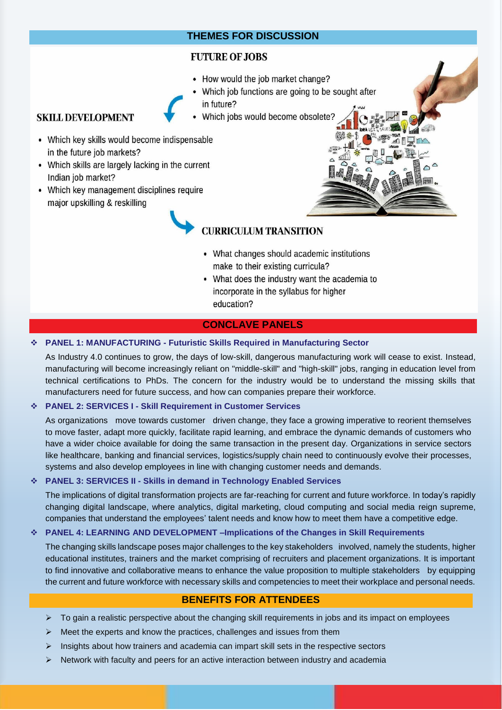### **THEMES FOR DISCUSSION**

### **FUTURE OF JOBS**

- How would the job market change?
- Which job functions are going to be sought after in future?
- Which jobs would become obsolete?

### **SKILL DEVELOPMENT**

- Which key skills would become indispensable in the future job markets?
- Which skills are largely lacking in the current Indian job market?
- Which key management disciplines require major upskilling & reskilling

### **CURRICULUM TRANSITION**

- What changes should academic institutions make to their existing curricula?
- What does the industry want the academia to incorporate in the syllabus for higher education?

### **CONCLAVE PANELS**

### **PANEL 1: MANUFACTURING - Futuristic Skills Required in Manufacturing Sector**

As Industry 4.0 continues to grow, the days of low-skill, dangerous manufacturing work will cease to exist. Instead, manufacturing will become increasingly reliant on "middle-skill" and "high-skill" jobs, ranging in education level from technical certifications to PhDs. The concern for the industry would be to understand the missing skills that manufacturers need for future success, and how can companies prepare their workforce.

### **PANEL 2: SERVICES I - Skill Requirement in Customer Services**

As organizations move towards customer driven change, they face a growing imperative to reorient themselves to move faster, adapt more quickly, facilitate rapid learning, and embrace the dynamic demands of customers who have a wider choice available for doing the same transaction in the present day. Organizations in service sectors like healthcare, banking and financial services, logistics/supply chain need to continuously evolve their processes, systems and also develop employees in line with changing customer needs and demands.

### **PANEL 3: SERVICES II - Skills in demand in Technology Enabled Services**

The implications of digital transformation projects are far-reaching for current and future workforce. In today's rapidly changing digital landscape, where analytics, digital marketing, cloud computing and social media reign supreme, companies that understand the employees' talent needs and know how to meet them have a competitive edge.

### **PANEL 4: LEARNING AND DEVELOPMENT –Implications of the Changes in Skill Requirements**

The changing skills landscape poses major challenges to the key stakeholders involved, namely the students, higher educational institutes, trainers and the market comprising of recruiters and placement organizations. It is important to find innovative and collaborative means to enhance the value proposition to multiple stakeholders by equipping the current and future workforce with necessary skills and competencies to meet their workplace and personal needs.

### **BENEFITS FOR ATTENDEES**

- $\triangleright$  To gain a realistic perspective about the changing skill requirements in jobs and its impact on employees
- $\triangleright$  Meet the experts and know the practices, challenges and issues from them
- $\triangleright$  Insights about how trainers and academia can impart skill sets in the respective sectors
- $\triangleright$  Network with faculty and peers for an active interaction between industry and academia